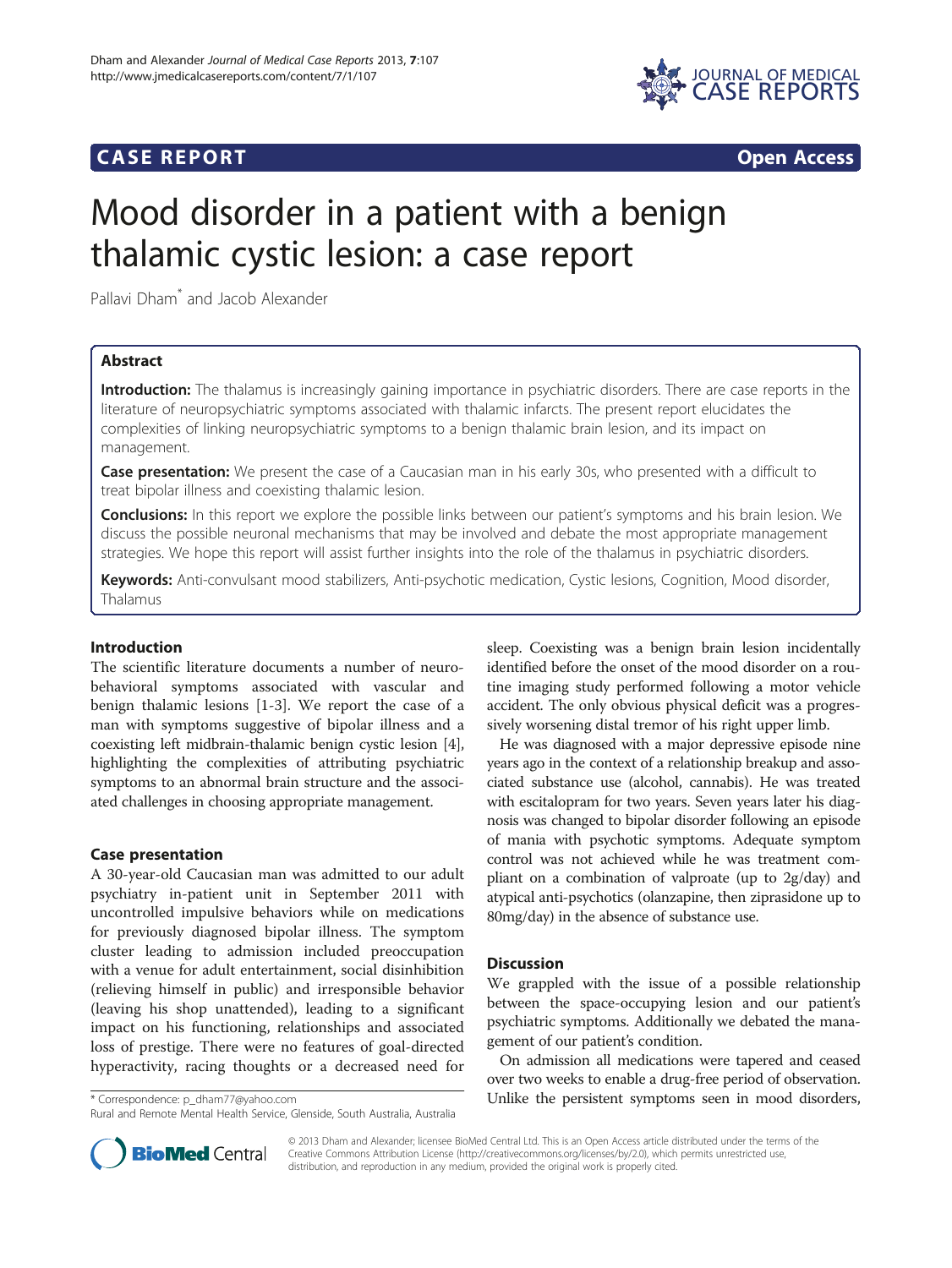

# **CASE REPORT CASE REPORT**



# Mood disorder in a patient with a benign thalamic cystic lesion: a case report

Pallavi Dham\* and Jacob Alexander

# Abstract

Introduction: The thalamus is increasingly gaining importance in psychiatric disorders. There are case reports in the literature of neuropsychiatric symptoms associated with thalamic infarcts. The present report elucidates the complexities of linking neuropsychiatric symptoms to a benign thalamic brain lesion, and its impact on management.

Case presentation: We present the case of a Caucasian man in his early 30s, who presented with a difficult to treat bipolar illness and coexisting thalamic lesion.

**Conclusions:** In this report we explore the possible links between our patient's symptoms and his brain lesion. We discuss the possible neuronal mechanisms that may be involved and debate the most appropriate management strategies. We hope this report will assist further insights into the role of the thalamus in psychiatric disorders.

Keywords: Anti-convulsant mood stabilizers, Anti-psychotic medication, Cystic lesions, Cognition, Mood disorder, Thalamus

# Introduction

The scientific literature documents a number of neurobehavioral symptoms associated with vascular and benign thalamic lesions [\[1](#page-2-0)-[3\]](#page-2-0). We report the case of a man with symptoms suggestive of bipolar illness and a coexisting left midbrain-thalamic benign cystic lesion [[4](#page-2-0)], highlighting the complexities of attributing psychiatric symptoms to an abnormal brain structure and the associated challenges in choosing appropriate management.

## Case presentation

A 30-year-old Caucasian man was admitted to our adult psychiatry in-patient unit in September 2011 with uncontrolled impulsive behaviors while on medications for previously diagnosed bipolar illness. The symptom cluster leading to admission included preoccupation with a venue for adult entertainment, social disinhibition (relieving himself in public) and irresponsible behavior (leaving his shop unattended), leading to a significant impact on his functioning, relationships and associated loss of prestige. There were no features of goal-directed hyperactivity, racing thoughts or a decreased need for

sleep. Coexisting was a benign brain lesion incidentally identified before the onset of the mood disorder on a routine imaging study performed following a motor vehicle accident. The only obvious physical deficit was a progressively worsening distal tremor of his right upper limb.

He was diagnosed with a major depressive episode nine years ago in the context of a relationship breakup and associated substance use (alcohol, cannabis). He was treated with escitalopram for two years. Seven years later his diagnosis was changed to bipolar disorder following an episode of mania with psychotic symptoms. Adequate symptom control was not achieved while he was treatment compliant on a combination of valproate (up to 2g/day) and atypical anti-psychotics (olanzapine, then ziprasidone up to 80mg/day) in the absence of substance use.

## **Discussion**

We grappled with the issue of a possible relationship between the space-occupying lesion and our patient's psychiatric symptoms. Additionally we debated the management of our patient's condition.

On admission all medications were tapered and ceased over two weeks to enable a drug-free period of observation. \* Correspondence: [p\\_dham77@yahoo.com](mailto:p_dham77@yahoo.com) Unlike the persistent symptoms seen in mood disorders,



© 2013 Dham and Alexander; licensee BioMed Central Ltd. This is an Open Access article distributed under the terms of the Creative Commons Attribution License (<http://creativecommons.org/licenses/by/2.0>), which permits unrestricted use, distribution, and reproduction in any medium, provided the original work is properly cited.

Rural and Remote Mental Health Service, Glenside, South Australia, Australia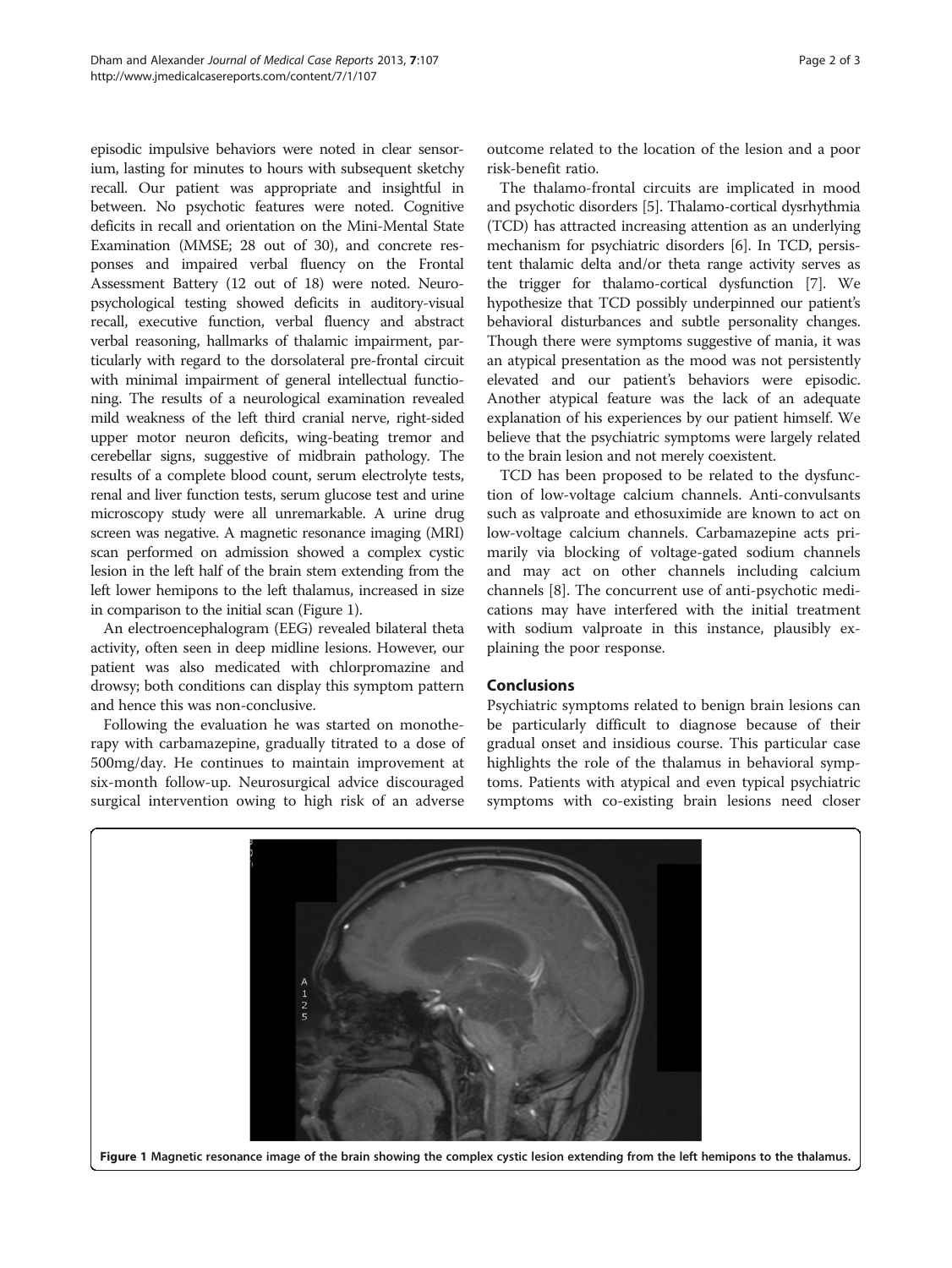episodic impulsive behaviors were noted in clear sensorium, lasting for minutes to hours with subsequent sketchy recall. Our patient was appropriate and insightful in between. No psychotic features were noted. Cognitive deficits in recall and orientation on the Mini-Mental State Examination (MMSE; 28 out of 30), and concrete responses and impaired verbal fluency on the Frontal Assessment Battery (12 out of 18) were noted. Neuropsychological testing showed deficits in auditory-visual recall, executive function, verbal fluency and abstract verbal reasoning, hallmarks of thalamic impairment, particularly with regard to the dorsolateral pre-frontal circuit with minimal impairment of general intellectual functioning. The results of a neurological examination revealed mild weakness of the left third cranial nerve, right-sided upper motor neuron deficits, wing-beating tremor and cerebellar signs, suggestive of midbrain pathology. The results of a complete blood count, serum electrolyte tests, renal and liver function tests, serum glucose test and urine microscopy study were all unremarkable. A urine drug screen was negative. A magnetic resonance imaging (MRI) scan performed on admission showed a complex cystic lesion in the left half of the brain stem extending from the left lower hemipons to the left thalamus, increased in size in comparison to the initial scan (Figure 1).

An electroencephalogram (EEG) revealed bilateral theta activity, often seen in deep midline lesions. However, our patient was also medicated with chlorpromazine and drowsy; both conditions can display this symptom pattern and hence this was non-conclusive.

Following the evaluation he was started on monotherapy with carbamazepine, gradually titrated to a dose of 500mg/day. He continues to maintain improvement at six-month follow-up. Neurosurgical advice discouraged surgical intervention owing to high risk of an adverse

outcome related to the location of the lesion and a poor risk-benefit ratio.

The thalamo-frontal circuits are implicated in mood and psychotic disorders [[5\]](#page-2-0). Thalamo-cortical dysrhythmia (TCD) has attracted increasing attention as an underlying mechanism for psychiatric disorders [\[6](#page-2-0)]. In TCD, persistent thalamic delta and/or theta range activity serves as the trigger for thalamo-cortical dysfunction [\[7\]](#page-2-0). We hypothesize that TCD possibly underpinned our patient's behavioral disturbances and subtle personality changes. Though there were symptoms suggestive of mania, it was an atypical presentation as the mood was not persistently elevated and our patient's behaviors were episodic. Another atypical feature was the lack of an adequate explanation of his experiences by our patient himself. We believe that the psychiatric symptoms were largely related to the brain lesion and not merely coexistent.

TCD has been proposed to be related to the dysfunction of low-voltage calcium channels. Anti-convulsants such as valproate and ethosuximide are known to act on low-voltage calcium channels. Carbamazepine acts primarily via blocking of voltage-gated sodium channels and may act on other channels including calcium channels [[8](#page-2-0)]. The concurrent use of anti-psychotic medications may have interfered with the initial treatment with sodium valproate in this instance, plausibly explaining the poor response.

#### **Conclusions**

Psychiatric symptoms related to benign brain lesions can be particularly difficult to diagnose because of their gradual onset and insidious course. This particular case highlights the role of the thalamus in behavioral symptoms. Patients with atypical and even typical psychiatric symptoms with co-existing brain lesions need closer